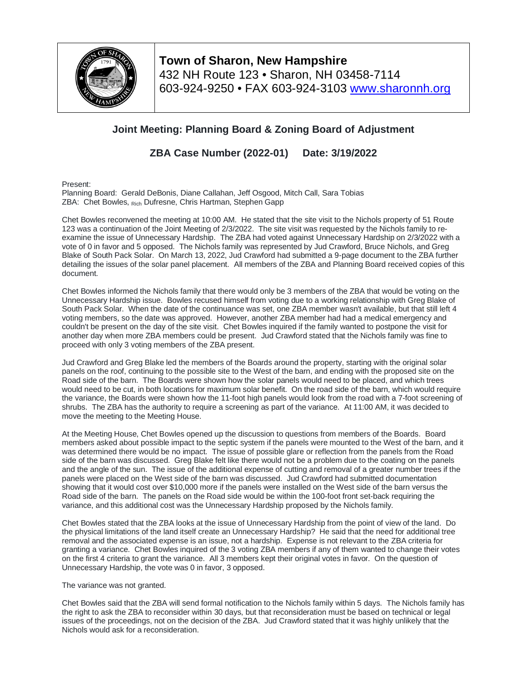

**Town of Sharon, New Hampshire** 432 NH Route 123 • Sharon, NH 03458-7114 603-924-9250 • FAX 603-924-3103 [www.sharonnh.org](http://www.sharonnh.org/)

## **Joint Meeting: Planning Board & Zoning Board of Adjustment**

**ZBA Case Number (2022-01) Date: 3/19/2022**

Present:

Planning Board: Gerald DeBonis, Diane Callahan, Jeff Osgood, Mitch Call, Sara Tobias ZBA: Chet Bowles, Rich Dufresne, Chris Hartman, Stephen Gapp

Chet Bowles reconvened the meeting at 10:00 AM. He stated that the site visit to the Nichols property of 51 Route 123 was a continuation of the Joint Meeting of 2/3/2022. The site visit was requested by the Nichols family to reexamine the issue of Unnecessary Hardship. The ZBA had voted against Unnecessary Hardship on 2/3/2022 with a vote of 0 in favor and 5 opposed. The Nichols family was represented by Jud Crawford, Bruce Nichols, and Greg Blake of South Pack Solar. On March 13, 2022, Jud Crawford had submitted a 9-page document to the ZBA further detailing the issues of the solar panel placement. All members of the ZBA and Planning Board received copies of this document.

Chet Bowles informed the Nichols family that there would only be 3 members of the ZBA that would be voting on the Unnecessary Hardship issue. Bowles recused himself from voting due to a working relationship with Greg Blake of South Pack Solar. When the date of the continuance was set, one ZBA member wasn't available, but that still left 4 voting members, so the date was approved. However, another ZBA member had had a medical emergency and couldn't be present on the day of the site visit. Chet Bowles inquired if the family wanted to postpone the visit for another day when more ZBA members could be present. Jud Crawford stated that the Nichols family was fine to proceed with only 3 voting members of the ZBA present.

Jud Crawford and Greg Blake led the members of the Boards around the property, starting with the original solar panels on the roof, continuing to the possible site to the West of the barn, and ending with the proposed site on the Road side of the barn. The Boards were shown how the solar panels would need to be placed, and which trees would need to be cut, in both locations for maximum solar benefit. On the road side of the barn, which would require the variance, the Boards were shown how the 11-foot high panels would look from the road with a 7-foot screening of shrubs. The ZBA has the authority to require a screening as part of the variance. At 11:00 AM, it was decided to move the meeting to the Meeting House.

At the Meeting House, Chet Bowles opened up the discussion to questions from members of the Boards. Board members asked about possible impact to the septic system if the panels were mounted to the West of the barn, and it was determined there would be no impact. The issue of possible glare or reflection from the panels from the Road side of the barn was discussed. Greg Blake felt like there would not be a problem due to the coating on the panels and the angle of the sun. The issue of the additional expense of cutting and removal of a greater number trees if the panels were placed on the West side of the barn was discussed. Jud Crawford had submitted documentation showing that it would cost over \$10,000 more if the panels were installed on the West side of the barn versus the Road side of the barn. The panels on the Road side would be within the 100-foot front set-back requiring the variance, and this additional cost was the Unnecessary Hardship proposed by the Nichols family.

Chet Bowles stated that the ZBA looks at the issue of Unnecessary Hardship from the point of view of the land. Do the physical limitations of the land itself create an Unnecessary Hardship? He said that the need for additional tree removal and the associated expense is an issue, not a hardship. Expense is not relevant to the ZBA criteria for granting a variance. Chet Bowles inquired of the 3 voting ZBA members if any of them wanted to change their votes on the first 4 criteria to grant the variance. All 3 members kept their original votes in favor. On the question of Unnecessary Hardship, the vote was 0 in favor, 3 opposed.

The variance was not granted.

Chet Bowles said that the ZBA will send formal notification to the Nichols family within 5 days. The Nichols family has the right to ask the ZBA to reconsider within 30 days, but that reconsideration must be based on technical or legal issues of the proceedings, not on the decision of the ZBA. Jud Crawford stated that it was highly unlikely that the Nichols would ask for a reconsideration.